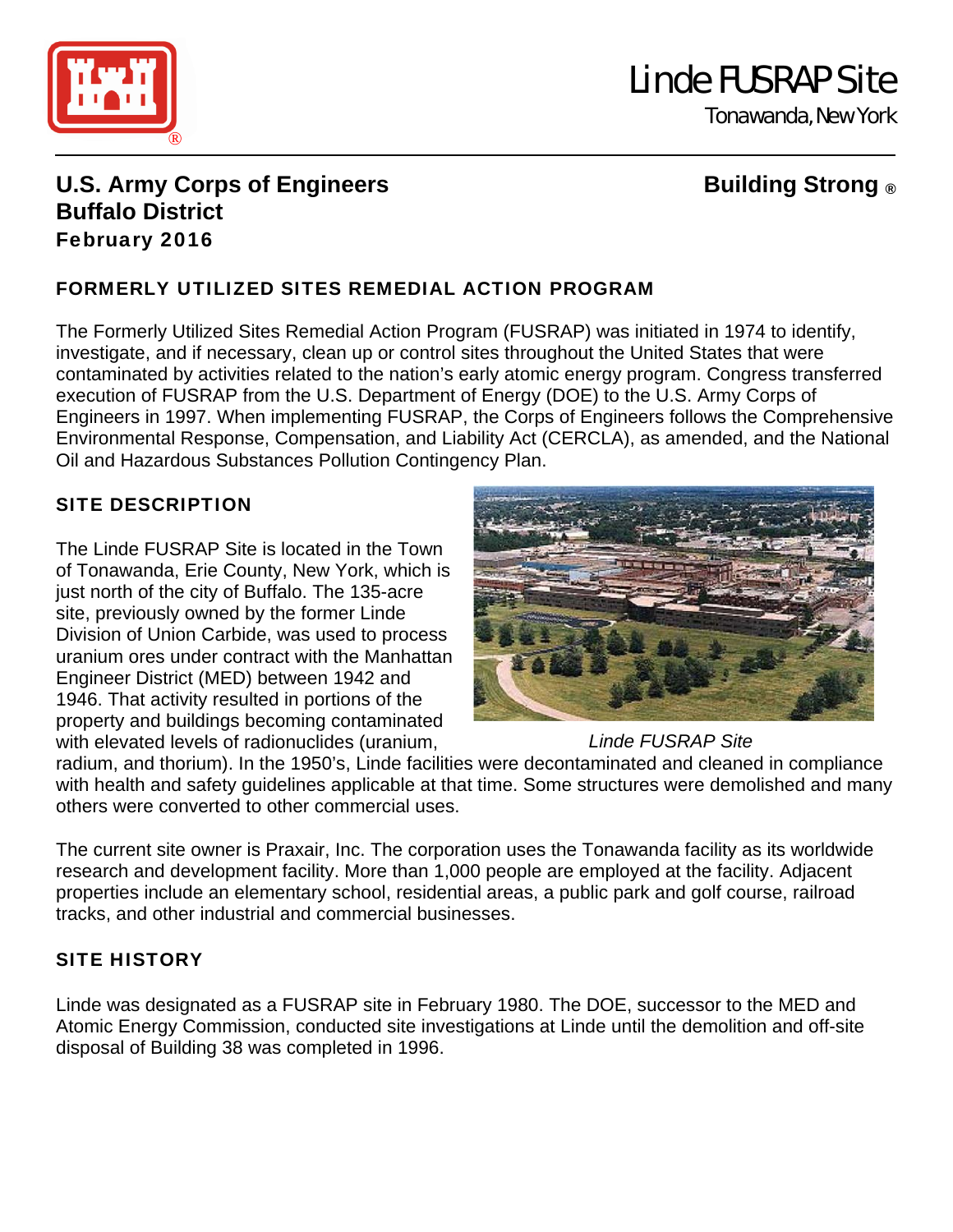

# Linde FUSRAP Site

Tonawanda, New York

# **U.S. Army Corps of Engineers Constrained Building Strong ® Buffalo District**  February 2016

# FORMERLY UTILIZED SITES REMEDIAL ACTION PROGRAM

The Formerly Utilized Sites Remedial Action Program (FUSRAP) was initiated in 1974 to identify, investigate, and if necessary, clean up or control sites throughout the United States that were contaminated by activities related to the nation's early atomic energy program. Congress transferred execution of FUSRAP from the U.S. Department of Energy (DOE) to the U.S. Army Corps of Engineers in 1997. When implementing FUSRAP, the Corps of Engineers follows the Comprehensive Environmental Response, Compensation, and Liability Act (CERCLA), as amended, and the National Oil and Hazardous Substances Pollution Contingency Plan.

# SITE DESCRIPTION

The Linde FUSRAP Site is located in the Town of Tonawanda, Erie County, New York, which is just north of the city of Buffalo. The 135-acre site, previously owned by the former Linde Division of Union Carbide, was used to process uranium ores under contract with the Manhattan Engineer District (MED) between 1942 and 1946. That activity resulted in portions of the property and buildings becoming contaminated with elevated levels of radionuclides (uranium,



# *Linde FUSRAP Site*

radium, and thorium). In the 1950's, Linde facilities were decontaminated and cleaned in compliance with health and safety guidelines applicable at that time. Some structures were demolished and many others were converted to other commercial uses.

The current site owner is Praxair, Inc. The corporation uses the Tonawanda facility as its worldwide research and development facility. More than 1,000 people are employed at the facility. Adjacent properties include an elementary school, residential areas, a public park and golf course, railroad tracks, and other industrial and commercial businesses.

# SITE HISTORY

Linde was designated as a FUSRAP site in February 1980. The DOE, successor to the MED and Atomic Energy Commission, conducted site investigations at Linde until the demolition and off-site disposal of Building 38 was completed in 1996.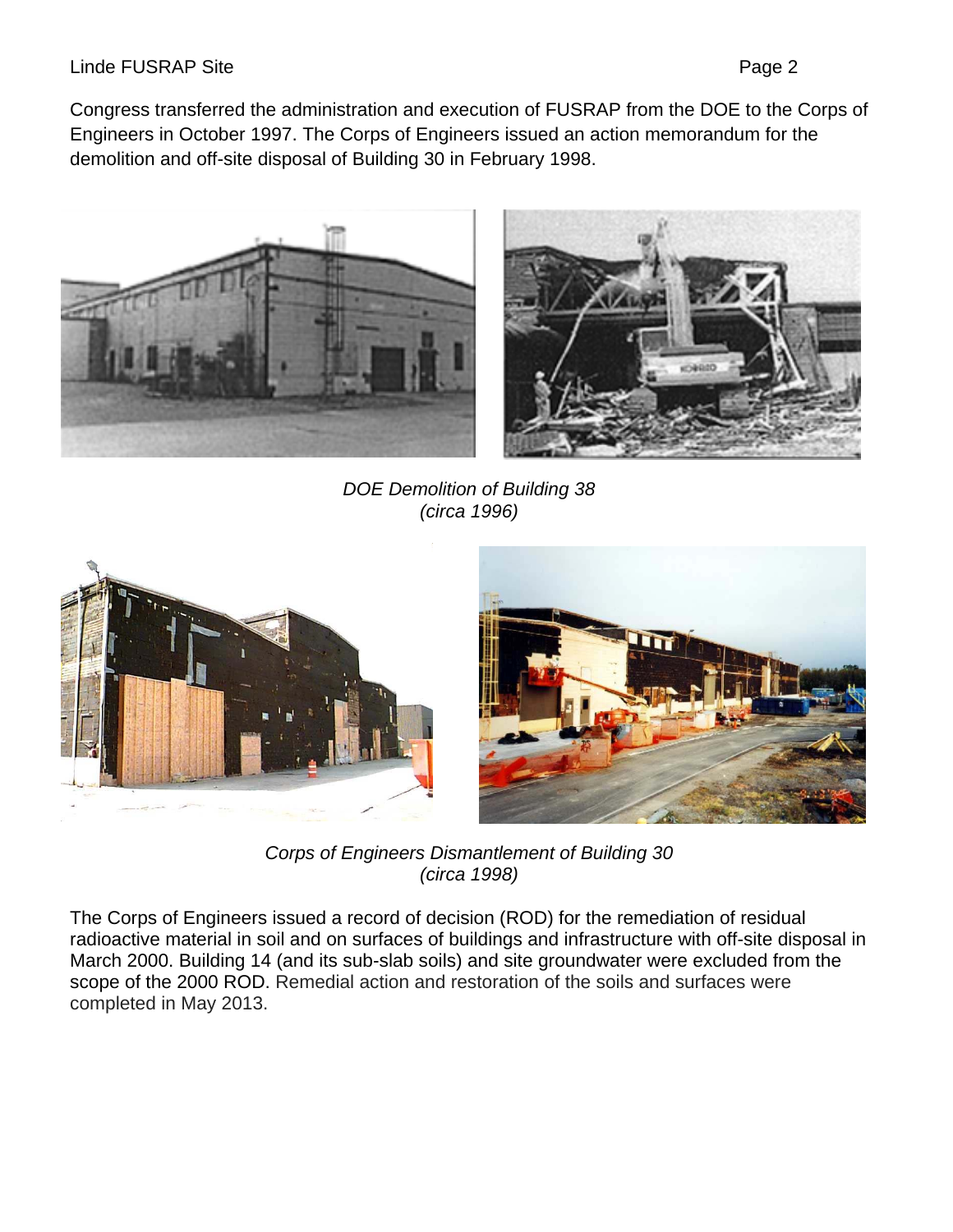#### Linde FUSRAP Site **Page 2**

Congress transferred the administration and execution of FUSRAP from the DOE to the Corps of Engineers in October 1997. The Corps of Engineers issued an action memorandum for the demolition and off-site disposal of Building 30 in February 1998.





*DOE Demolition of Building 38 (circa 1996)* 





*Corps of Engineers Dismantlement of Building 30 (circa 1998)* 

The Corps of Engineers issued a record of decision (ROD) for the remediation of residual radioactive material in soil and on surfaces of buildings and infrastructure with off-site disposal in March 2000. Building 14 (and its sub-slab soils) and site groundwater were excluded from the scope of the 2000 ROD. Remedial action and restoration of the soils and surfaces were completed in May 2013.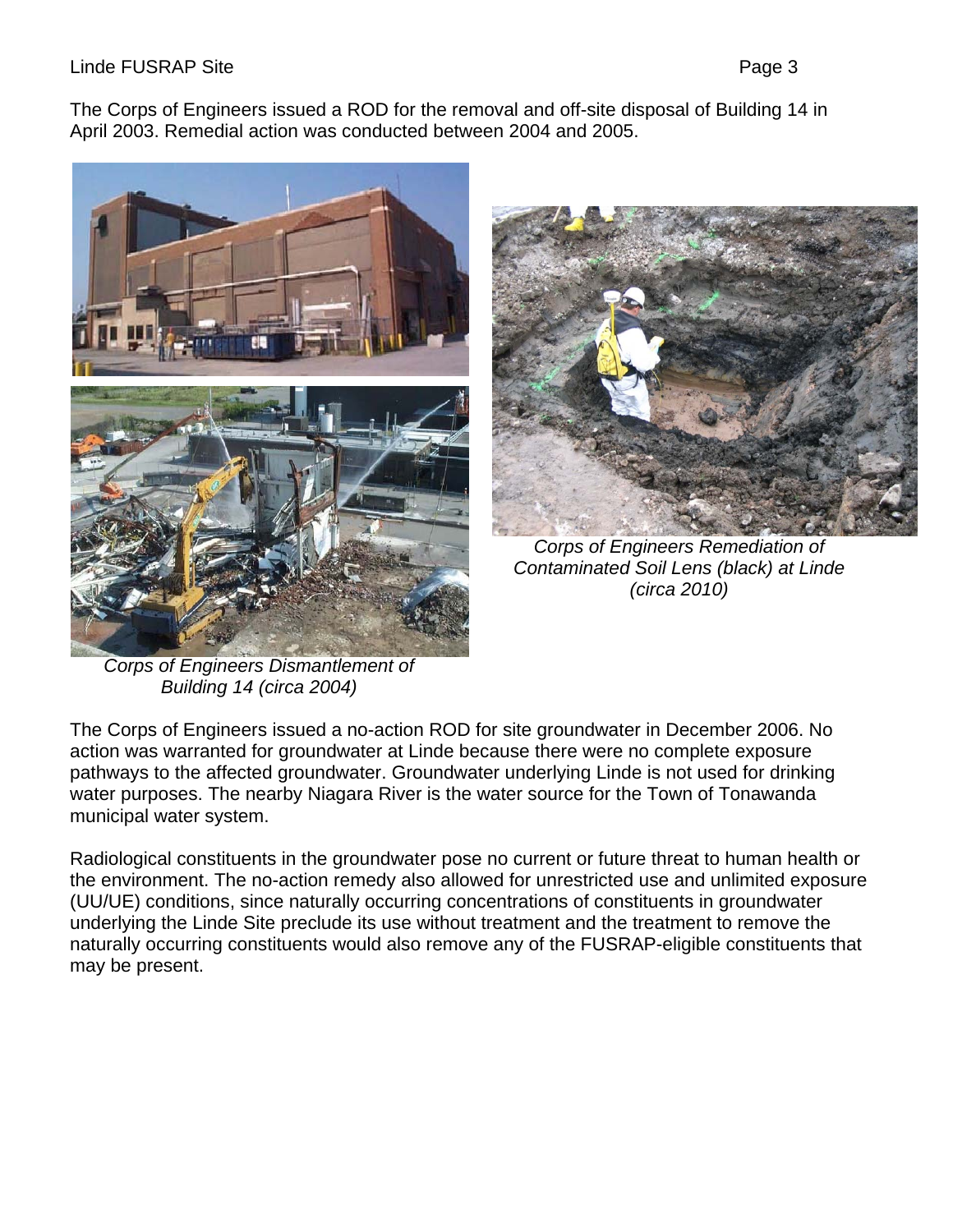#### Linde FUSRAP Site **Page 3**

The Corps of Engineers issued a ROD for the removal and off-site disposal of Building 14 in April 2003. Remedial action was conducted between 2004 and 2005.





*Corps of Engineers Remediation of Contaminated Soil Lens (black) at Linde (circa 2010)* 

*Corps of Engineers Dismantlement of Building 14 (circa 2004)*

The Corps of Engineers issued a no-action ROD for site groundwater in December 2006. No action was warranted for groundwater at Linde because there were no complete exposure pathways to the affected groundwater. Groundwater underlying Linde is not used for drinking water purposes. The nearby Niagara River is the water source for the Town of Tonawanda municipal water system.

Radiological constituents in the groundwater pose no current or future threat to human health or the environment. The no-action remedy also allowed for unrestricted use and unlimited exposure (UU/UE) conditions, since naturally occurring concentrations of constituents in groundwater underlying the Linde Site preclude its use without treatment and the treatment to remove the naturally occurring constituents would also remove any of the FUSRAP-eligible constituents that may be present.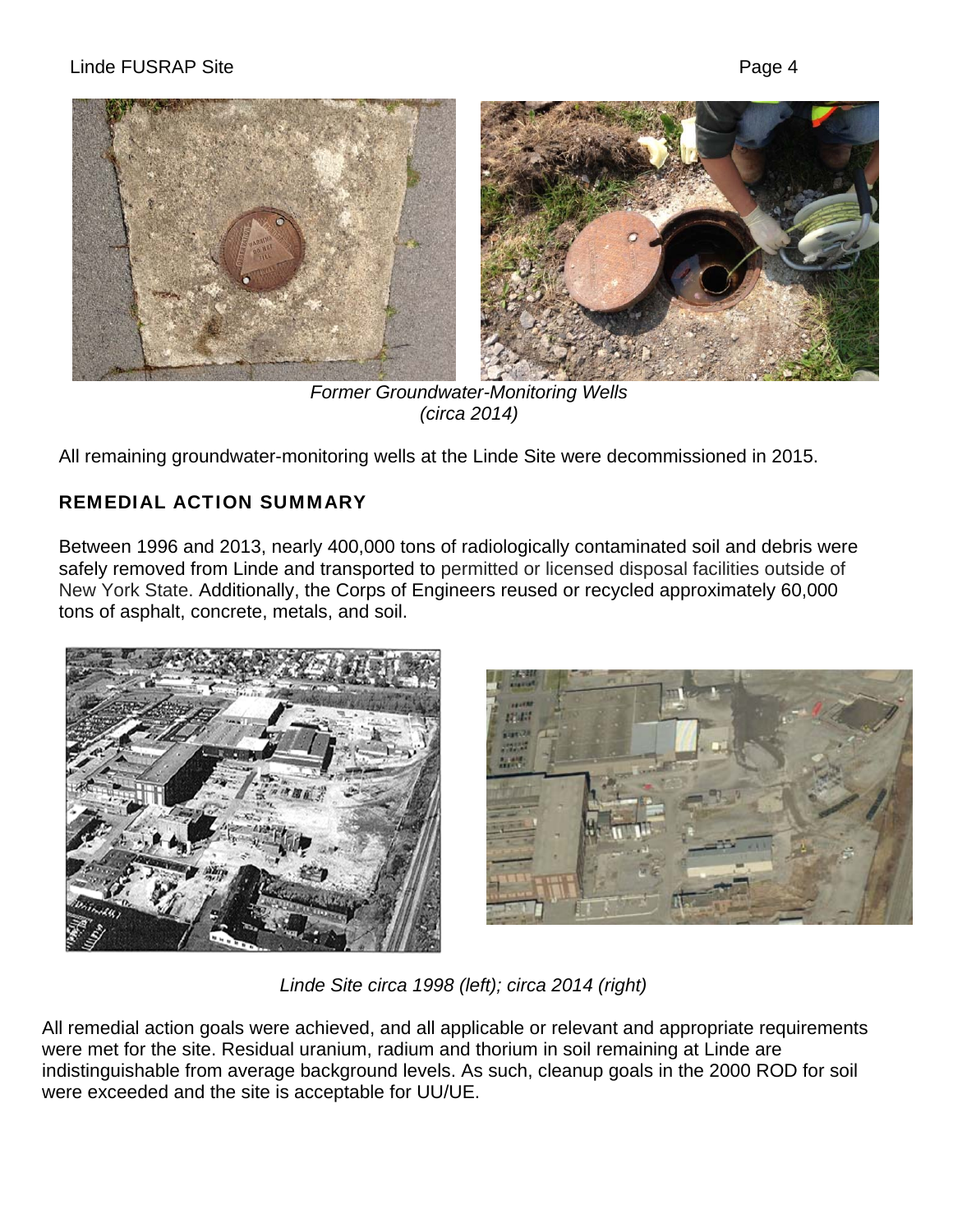

*Former Groundwater-Monitoring Wells (circa 2014)* 

All remaining groundwater-monitoring wells at the Linde Site were decommissioned in 2015.

# REMEDIAL ACTION SUMMARY

Between 1996 and 2013, nearly 400,000 tons of radiologically contaminated soil and debris were safely removed from Linde and transported to permitted or licensed disposal facilities outside of New York State. Additionally, the Corps of Engineers reused or recycled approximately 60,000 tons of asphalt, concrete, metals, and soil.





*Linde Site circa 1998 (left); circa 2014 (right)*

All remedial action goals were achieved, and all applicable or relevant and appropriate requirements were met for the site. Residual uranium, radium and thorium in soil remaining at Linde are indistinguishable from average background levels. As such, cleanup goals in the 2000 ROD for soil were exceeded and the site is acceptable for UU/UE.